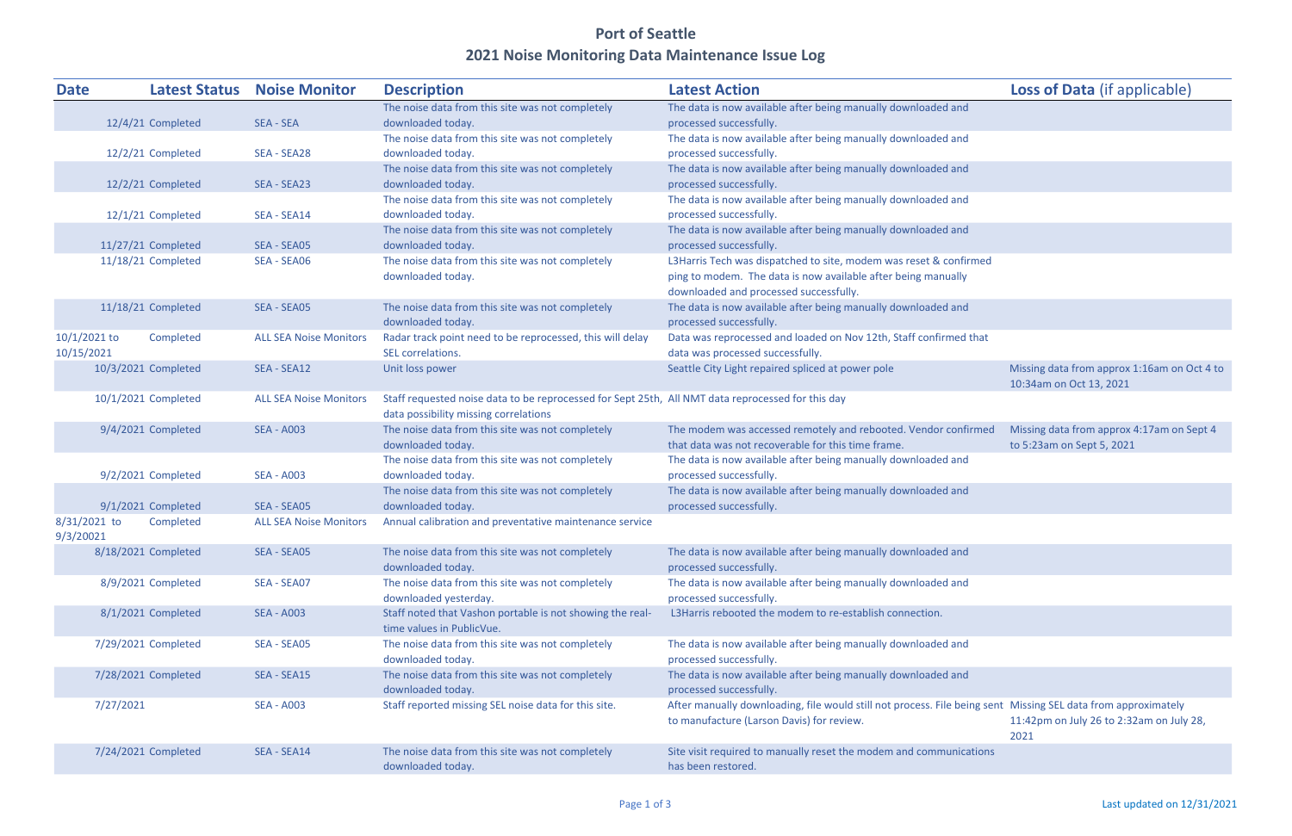## Port of Seattle 2021 Noise Monitoring Data Maintenance Issue Log

| <b>Date</b>    |           | <b>Latest Status</b> | <b>Noise Monitor</b>          | <b>Description</b>                                                                                | <b>Latest Action</b>                                                                                          | <b>Loss of Data (if applicable)</b>         |
|----------------|-----------|----------------------|-------------------------------|---------------------------------------------------------------------------------------------------|---------------------------------------------------------------------------------------------------------------|---------------------------------------------|
|                |           |                      |                               | The noise data from this site was not completely                                                  | The data is now available after being manually downloaded and                                                 |                                             |
|                |           | 12/4/21 Completed    | <b>SEA - SEA</b>              | downloaded today.                                                                                 | processed successfully.                                                                                       |                                             |
|                |           |                      |                               | The noise data from this site was not completely                                                  | The data is now available after being manually downloaded and                                                 |                                             |
|                |           | 12/2/21 Completed    | SEA - SEA28                   | downloaded today.                                                                                 | processed successfully.                                                                                       |                                             |
|                |           |                      |                               | The noise data from this site was not completely                                                  | The data is now available after being manually downloaded and                                                 |                                             |
|                |           | 12/2/21 Completed    | SEA - SEA23                   | downloaded today.                                                                                 | processed successfully.                                                                                       |                                             |
|                |           |                      |                               | The noise data from this site was not completely                                                  | The data is now available after being manually downloaded and                                                 |                                             |
|                |           | 12/1/21 Completed    | SEA - SEA14                   | downloaded today.                                                                                 | processed successfully.                                                                                       |                                             |
|                |           |                      |                               | The noise data from this site was not completely                                                  | The data is now available after being manually downloaded and                                                 |                                             |
|                |           | 11/27/21 Completed   | SEA - SEA05                   | downloaded today.                                                                                 | processed successfully.                                                                                       |                                             |
|                |           | 11/18/21 Completed   | SEA - SEA06                   | The noise data from this site was not completely                                                  | L3Harris Tech was dispatched to site, modem was reset & confirmed                                             |                                             |
|                |           |                      |                               | downloaded today.                                                                                 | ping to modem. The data is now available after being manually                                                 |                                             |
|                |           |                      |                               |                                                                                                   | downloaded and processed successfully.                                                                        |                                             |
|                |           | 11/18/21 Completed   | SEA - SEA05                   | The noise data from this site was not completely                                                  | The data is now available after being manually downloaded and                                                 |                                             |
|                |           |                      |                               | downloaded today.                                                                                 | processed successfully.                                                                                       |                                             |
| $10/1/2021$ to |           | Completed            | <b>ALL SEA Noise Monitors</b> | Radar track point need to be reprocessed, this will delay                                         | Data was reprocessed and loaded on Nov 12th, Staff confirmed that                                             |                                             |
| 10/15/2021     |           |                      |                               | SEL correlations.                                                                                 | data was processed successfully.                                                                              |                                             |
|                |           | 10/3/2021 Completed  | SEA - SEA12                   | Unit loss power                                                                                   | Seattle City Light repaired spliced at power pole                                                             | Missing data from approx 1:16am on Oct 4 to |
|                |           |                      |                               |                                                                                                   |                                                                                                               | 10:34am on Oct 13, 2021                     |
|                |           | 10/1/2021 Completed  | <b>ALL SEA Noise Monitors</b> | Staff requested noise data to be reprocessed for Sept 25th, All NMT data reprocessed for this day |                                                                                                               |                                             |
|                |           |                      |                               | data possibility missing correlations                                                             |                                                                                                               |                                             |
|                |           | 9/4/2021 Completed   | <b>SEA - A003</b>             | The noise data from this site was not completely                                                  | The modem was accessed remotely and rebooted. Vendor confirmed                                                | Missing data from approx 4:17am on Sept 4   |
|                |           |                      |                               | downloaded today.                                                                                 | that data was not recoverable for this time frame.                                                            | to 5:23am on Sept 5, 2021                   |
|                |           |                      |                               | The noise data from this site was not completely                                                  | The data is now available after being manually downloaded and                                                 |                                             |
|                |           | 9/2/2021 Completed   | <b>SEA - A003</b>             | downloaded today.                                                                                 | processed successfully.                                                                                       |                                             |
|                |           |                      |                               | The noise data from this site was not completely                                                  | The data is now available after being manually downloaded and                                                 |                                             |
|                |           | 9/1/2021 Completed   | SEA - SEA05                   | downloaded today.                                                                                 | processed successfully.                                                                                       |                                             |
| $8/31/2021$ to |           | Completed            | <b>ALL SEA Noise Monitors</b> | Annual calibration and preventative maintenance service                                           |                                                                                                               |                                             |
| 9/3/20021      |           |                      |                               |                                                                                                   |                                                                                                               |                                             |
|                |           | 8/18/2021 Completed  | SEA - SEA05                   | The noise data from this site was not completely                                                  | The data is now available after being manually downloaded and                                                 |                                             |
|                |           |                      |                               | downloaded today.                                                                                 | processed successfully.                                                                                       |                                             |
|                |           | 8/9/2021 Completed   | SEA - SEA07                   | The noise data from this site was not completely                                                  | The data is now available after being manually downloaded and                                                 |                                             |
|                |           |                      |                               | downloaded yesterday.                                                                             | processed successfully.                                                                                       |                                             |
|                |           | 8/1/2021 Completed   | <b>SEA - A003</b>             | Staff noted that Vashon portable is not showing the real-                                         | L3Harris rebooted the modem to re-establish connection.                                                       |                                             |
|                |           |                      |                               | time values in PublicVue.                                                                         |                                                                                                               |                                             |
|                |           | 7/29/2021 Completed  | SEA - SEA05                   | The noise data from this site was not completely                                                  | The data is now available after being manually downloaded and                                                 |                                             |
|                |           |                      |                               | downloaded today.                                                                                 | processed successfully.                                                                                       |                                             |
|                |           | 7/28/2021 Completed  | SEA - SEA15                   | The noise data from this site was not completely                                                  | The data is now available after being manually downloaded and                                                 |                                             |
|                |           |                      |                               | downloaded today.                                                                                 | processed successfully.                                                                                       |                                             |
|                | 7/27/2021 |                      | <b>SEA - A003</b>             | Staff reported missing SEL noise data for this site.                                              | After manually downloading, file would still not process. File being sent Missing SEL data from approximately |                                             |
|                |           |                      |                               |                                                                                                   | to manufacture (Larson Davis) for review.                                                                     | 11:42pm on July 26 to 2:32am on July 28,    |
|                |           |                      |                               |                                                                                                   |                                                                                                               | 2021                                        |
|                |           | 7/24/2021 Completed  | SEA - SEA14                   | The noise data from this site was not completely                                                  | Site visit required to manually reset the modem and communications                                            |                                             |
|                |           |                      |                               | downloaded today.                                                                                 | has been restored.                                                                                            |                                             |

Page 1 of 3 Last updated on  $12/31/2021$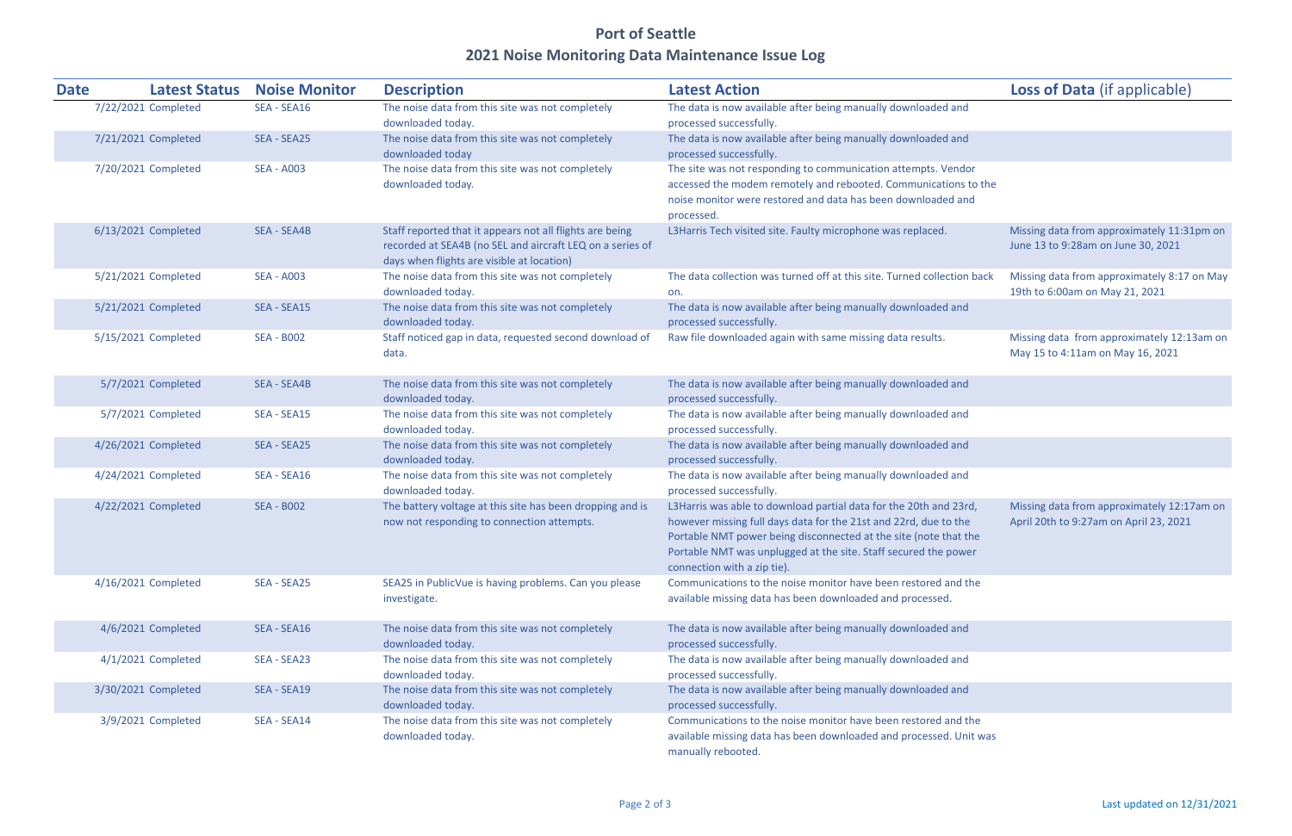## Port of Seattle 2021 Noise Monitoring Data Maintenance Issue Log

| <b>Date</b> | <b>Latest Status</b> | <b>Noise Monitor</b> | <b>Description</b>                                                                                                                                                  | <b>Latest Action</b>                                                                                                                                                                                                                                                                                        | <b>Loss of Data (if applicable)</b>                                                  |
|-------------|----------------------|----------------------|---------------------------------------------------------------------------------------------------------------------------------------------------------------------|-------------------------------------------------------------------------------------------------------------------------------------------------------------------------------------------------------------------------------------------------------------------------------------------------------------|--------------------------------------------------------------------------------------|
|             | 7/22/2021 Completed  | SEA - SEA16          | The noise data from this site was not completely                                                                                                                    | The data is now available after being manually downloaded and                                                                                                                                                                                                                                               |                                                                                      |
|             |                      |                      | downloaded today.                                                                                                                                                   | processed successfully.                                                                                                                                                                                                                                                                                     |                                                                                      |
|             | 7/21/2021 Completed  | SEA - SEA25          | The noise data from this site was not completely<br>downloaded today                                                                                                | The data is now available after being manually downloaded and<br>processed successfully.                                                                                                                                                                                                                    |                                                                                      |
|             | 7/20/2021 Completed  | <b>SEA - A003</b>    | The noise data from this site was not completely<br>downloaded today.                                                                                               | The site was not responding to communication attempts. Vendor<br>accessed the modem remotely and rebooted. Communications to the<br>noise monitor were restored and data has been downloaded and<br>processed.                                                                                              |                                                                                      |
|             | 6/13/2021 Completed  | SEA - SEA4B          | Staff reported that it appears not all flights are being<br>recorded at SEA4B (no SEL and aircraft LEQ on a series of<br>days when flights are visible at location) | L3Harris Tech visited site. Faulty microphone was replaced.                                                                                                                                                                                                                                                 | Missing data from approximately 11:31pm on<br>June 13 to 9:28am on June 30, 2021     |
|             | 5/21/2021 Completed  | <b>SEA - A003</b>    | The noise data from this site was not completely<br>downloaded today.                                                                                               | The data collection was turned off at this site. Turned collection back<br>on.                                                                                                                                                                                                                              | Missing data from approximately 8:17 on May<br>19th to 6:00am on May 21, 2021        |
|             | 5/21/2021 Completed  | SEA - SEA15          | The noise data from this site was not completely<br>downloaded today.                                                                                               | The data is now available after being manually downloaded and<br>processed successfully.                                                                                                                                                                                                                    |                                                                                      |
|             | 5/15/2021 Completed  | <b>SEA - B002</b>    | Staff noticed gap in data, requested second download of<br>data.                                                                                                    | Raw file downloaded again with same missing data results.                                                                                                                                                                                                                                                   | Missing data from approximately 12:13am on<br>May 15 to 4:11am on May 16, 2021       |
|             | 5/7/2021 Completed   | SEA - SEA4B          | The noise data from this site was not completely<br>downloaded today.                                                                                               | The data is now available after being manually downloaded and<br>processed successfully.                                                                                                                                                                                                                    |                                                                                      |
|             | 5/7/2021 Completed   | SEA - SEA15          | The noise data from this site was not completely<br>downloaded today.                                                                                               | The data is now available after being manually downloaded and<br>processed successfully.                                                                                                                                                                                                                    |                                                                                      |
|             | 4/26/2021 Completed  | SEA - SEA25          | The noise data from this site was not completely<br>downloaded today.                                                                                               | The data is now available after being manually downloaded and<br>processed successfully.                                                                                                                                                                                                                    |                                                                                      |
|             | 4/24/2021 Completed  | SEA - SEA16          | The noise data from this site was not completely<br>downloaded today.                                                                                               | The data is now available after being manually downloaded and<br>processed successfully.                                                                                                                                                                                                                    |                                                                                      |
|             | 4/22/2021 Completed  | <b>SEA - B002</b>    | The battery voltage at this site has been dropping and is<br>now not responding to connection attempts.                                                             | L3Harris was able to download partial data for the 20th and 23rd,<br>however missing full days data for the 21st and 22rd, due to the<br>Portable NMT power being disconnected at the site (note that the<br>Portable NMT was unplugged at the site. Staff secured the power<br>connection with a zip tie). | Missing data from approximately 12:17am on<br>April 20th to 9:27am on April 23, 2021 |
|             | 4/16/2021 Completed  | SEA - SEA25          | SEA25 in PublicVue is having problems. Can you please<br>investigate.                                                                                               | Communications to the noise monitor have been restored and the<br>available missing data has been downloaded and processed.                                                                                                                                                                                 |                                                                                      |
|             | 4/6/2021 Completed   | SEA - SEA16          | The noise data from this site was not completely<br>downloaded today.                                                                                               | The data is now available after being manually downloaded and<br>processed successfully.                                                                                                                                                                                                                    |                                                                                      |
|             | 4/1/2021 Completed   | SEA - SEA23          | The noise data from this site was not completely<br>downloaded today.                                                                                               | The data is now available after being manually downloaded and<br>processed successfully.                                                                                                                                                                                                                    |                                                                                      |
|             | 3/30/2021 Completed  | SEA - SEA19          | The noise data from this site was not completely<br>downloaded today.                                                                                               | The data is now available after being manually downloaded and<br>processed successfully.                                                                                                                                                                                                                    |                                                                                      |
|             | 3/9/2021 Completed   | SEA - SEA14          | The noise data from this site was not completely<br>downloaded today.                                                                                               | Communications to the noise monitor have been restored and the<br>available missing data has been downloaded and processed. Unit was<br>manually rebooted.                                                                                                                                                  |                                                                                      |

|                                | <b>Loss of Data (if applicable)</b>                                                  |
|--------------------------------|--------------------------------------------------------------------------------------|
| and                            |                                                                                      |
| and                            |                                                                                      |
| ndor!<br>ons to the<br>d and   |                                                                                      |
|                                | Missing data from approximately 11:31pm on<br>June 13 to 9:28am on June 30, 2021     |
| tion back                      | Missing data from approximately 8:17 on May<br>19th to 6:00am on May 21, 2021        |
| and                            |                                                                                      |
|                                | Missing data from approximately 12:13am on<br>May 15 to 4:11am on May 16, 2021       |
| and                            |                                                                                      |
| and                            |                                                                                      |
| and                            |                                                                                      |
| and                            |                                                                                      |
| 23rd,<br>the<br>at the<br>ower | Missing data from approximately 12:17am on<br>April 20th to 9:27am on April 23, 2021 |
| nd the                         |                                                                                      |
| and                            |                                                                                      |
| and                            |                                                                                      |
| and                            |                                                                                      |
| nd the<br>Unit was             |                                                                                      |